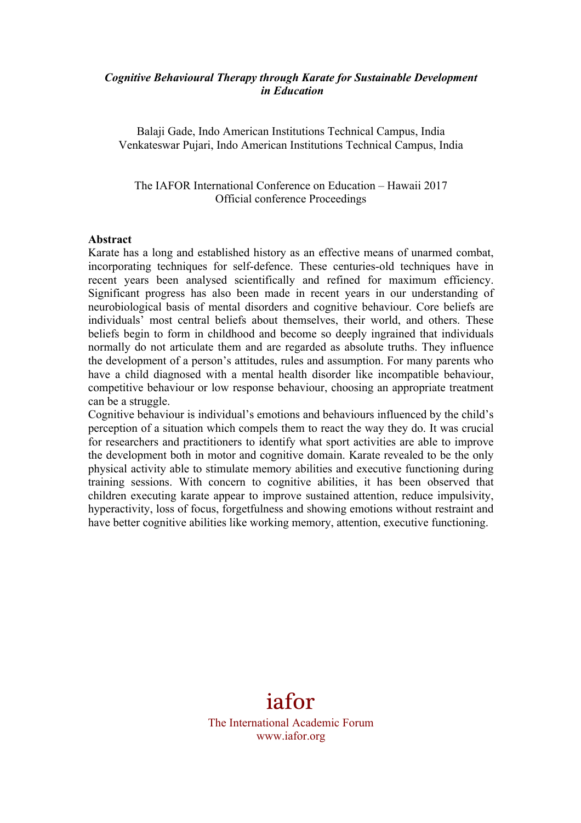#### *Cognitive Behavioural Therapy through Karate for Sustainable Development in Education*

Balaji Gade, Indo American Institutions Technical Campus, India Venkateswar Pujari, Indo American Institutions Technical Campus, India

The IAFOR International Conference on Education – Hawaii 2017 Official conference Proceedings

#### **Abstract**

Karate has a long and established history as an effective means of unarmed combat, incorporating techniques for self-defence. These centuries-old techniques have in recent years been analysed scientifically and refined for maximum efficiency. Significant progress has also been made in recent years in our understanding of neurobiological basis of mental disorders and cognitive behaviour. Core beliefs are individuals' most central beliefs about themselves, their world, and others. These beliefs begin to form in childhood and become so deeply ingrained that individuals normally do not articulate them and are regarded as absolute truths. They influence the development of a person's attitudes, rules and assumption. For many parents who have a child diagnosed with a mental health disorder like incompatible behaviour, competitive behaviour or low response behaviour, choosing an appropriate treatment can be a struggle.

Cognitive behaviour is individual's emotions and behaviours influenced by the child's perception of a situation which compels them to react the way they do. It was crucial for researchers and practitioners to identify what sport activities are able to improve the development both in motor and cognitive domain. Karate revealed to be the only physical activity able to stimulate memory abilities and executive functioning during training sessions. With concern to cognitive abilities, it has been observed that children executing karate appear to improve sustained attention, reduce impulsivity, hyperactivity, loss of focus, forgetfulness and showing emotions without restraint and have better cognitive abilities like working memory, attention, executive functioning.

# iafor

The International Academic Forum www.iafor.org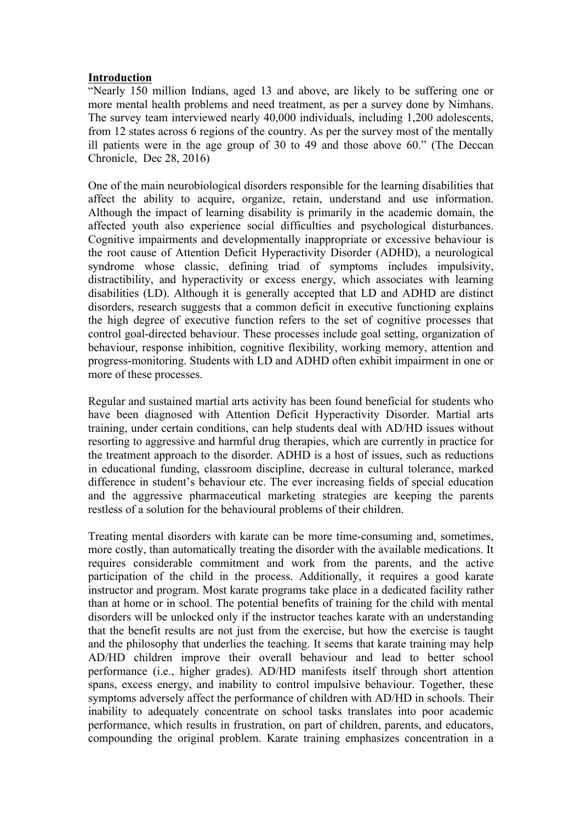### **Introduction**

"Nearly 150 million Indians, aged 13 and above, are likely to be suffering one or more mental health problems and need treatment, as per a survey done by Nimhans. The survey team interviewed nearly 40,000 individuals, including 1,200 adolescents, from 12 states across 6 regions of the country. As per the survey most of the mentally ill patients were in the age group of 30 to 49 and those above 60." (The Deccan Chronicle, Dec 28, 2016)

One of the main neurobiological disorders responsible for the learning disabilities that affect the ability to acquire, organize, retain, understand and use information. Although the impact of learning disability is primarily in the academic domain, the affected youth also experience social difficulties and psychological disturbances. Cognitive impairments and developmentally inappropriate or excessive behaviour is the root cause of Attention Deficit Hyperactivity Disorder (ADHD), a neurological syndrome whose classic, defining triad of symptoms includes impulsivity, distractibility, and hyperactivity or excess energy, which associates with learning disabilities (LD). Although it is generally accepted that LD and ADHD are distinct disorders, research suggests that a common deficit in executive functioning explains the high degree of executive function refers to the set of cognitive processes that control goal-directed behaviour. These processes include goal setting, organization of behaviour, response inhibition, cognitive flexibility, working memory, attention and progress-monitoring. Students with LD and ADHD often exhibit impairment in one or more of these processes.

Regular and sustained martial arts activity has been found beneficial for students who have been diagnosed with Attention Deficit Hyperactivity Disorder. Martial arts training, under certain conditions, can help students deal with AD/HD issues without resorting to aggressive and harmful drug therapies, which are currently in practice for the treatment approach to the disorder. ADHD is a host of issues, such as reductions in educational funding, classroom discipline, decrease in cultural tolerance, marked difference in student's behaviour etc. The ever increasing fields of special education and the aggressive pharmaceutical marketing strategies are keeping the parents restless of a solution for the behavioural problems of their children.

Treating mental disorders with karate can be more time-consuming and, sometimes, more costly, than automatically treating the disorder with the available medications. It requires considerable commitment and work from the parents, and the active participation of the child in the process. Additionally, it requires a good karate instructor and program. Most karate programs take place in a dedicated facility rather than at home or in school. The potential benefits of training for the child with mental disorders will be unlocked only if the instructor teaches karate with an understanding that the benefit results are not just from the exercise, but how the exercise is taught and the philosophy that underlies the teaching. It seems that karate training may help AD/HD children improve their overall behaviour and lead to better school performance (i.e., higher grades). AD/HD manifests itself through short attention spans, excess energy, and inability to control impulsive behaviour. Together, these symptoms adversely affect the performance of children with AD/HD in schools. Their inability to adequately concentrate on school tasks translates into poor academic performance, which results in frustration, on part of children, parents, and educators, compounding the original problem. Karate training emphasizes concentration in a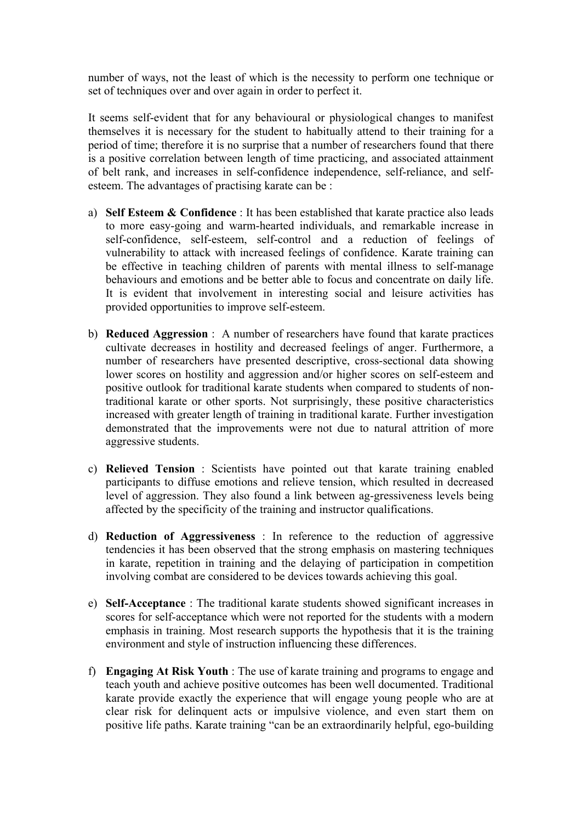number of ways, not the least of which is the necessity to perform one technique or set of techniques over and over again in order to perfect it.

It seems self-evident that for any behavioural or physiological changes to manifest themselves it is necessary for the student to habitually attend to their training for a period of time; therefore it is no surprise that a number of researchers found that there is a positive correlation between length of time practicing, and associated attainment of belt rank, and increases in self-confidence independence, self-reliance, and selfesteem. The advantages of practising karate can be :

- a) **Self Esteem & Confidence** : It has been established that karate practice also leads to more easy-going and warm-hearted individuals, and remarkable increase in self-confidence, self-esteem, self-control and a reduction of feelings of vulnerability to attack with increased feelings of confidence. Karate training can be effective in teaching children of parents with mental illness to self-manage behaviours and emotions and be better able to focus and concentrate on daily life. It is evident that involvement in interesting social and leisure activities has provided opportunities to improve self-esteem.
- b) **Reduced Aggression** : A number of researchers have found that karate practices cultivate decreases in hostility and decreased feelings of anger. Furthermore, a number of researchers have presented descriptive, cross-sectional data showing lower scores on hostility and aggression and/or higher scores on self-esteem and positive outlook for traditional karate students when compared to students of nontraditional karate or other sports. Not surprisingly, these positive characteristics increased with greater length of training in traditional karate. Further investigation demonstrated that the improvements were not due to natural attrition of more aggressive students.
- c) **Relieved Tension** : Scientists have pointed out that karate training enabled participants to diffuse emotions and relieve tension, which resulted in decreased level of aggression. They also found a link between ag-gressiveness levels being affected by the specificity of the training and instructor qualifications.
- d) **Reduction of Aggressiveness** : In reference to the reduction of aggressive tendencies it has been observed that the strong emphasis on mastering techniques in karate, repetition in training and the delaying of participation in competition involving combat are considered to be devices towards achieving this goal.
- e) **Self-Acceptance** : The traditional karate students showed significant increases in scores for self-acceptance which were not reported for the students with a modern emphasis in training. Most research supports the hypothesis that it is the training environment and style of instruction influencing these differences.
- f) **Engaging At Risk Youth** : The use of karate training and programs to engage and teach youth and achieve positive outcomes has been well documented. Traditional karate provide exactly the experience that will engage young people who are at clear risk for delinquent acts or impulsive violence, and even start them on positive life paths. Karate training "can be an extraordinarily helpful, ego-building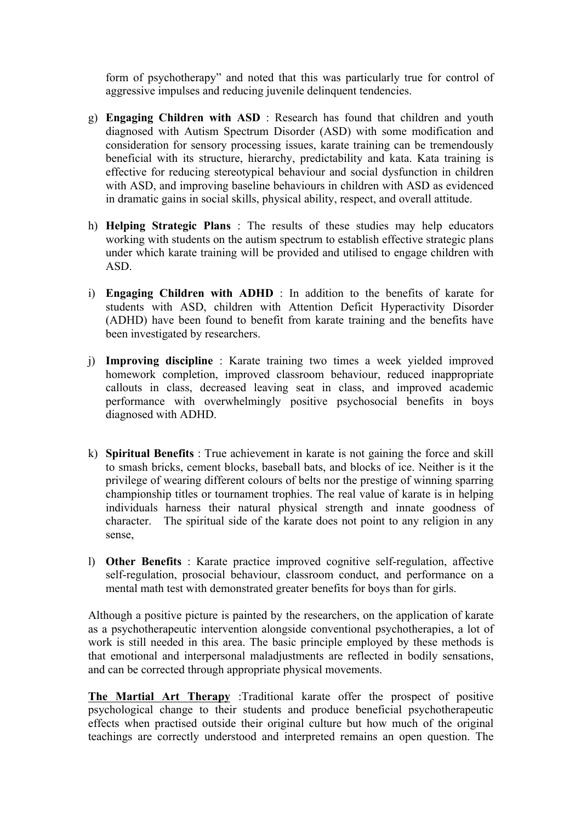form of psychotherapy" and noted that this was particularly true for control of aggressive impulses and reducing juvenile delinquent tendencies.

- g) **Engaging Children with ASD** : Research has found that children and youth diagnosed with Autism Spectrum Disorder (ASD) with some modification and consideration for sensory processing issues, karate training can be tremendously beneficial with its structure, hierarchy, predictability and kata. Kata training is effective for reducing stereotypical behaviour and social dysfunction in children with ASD, and improving baseline behaviours in children with ASD as evidenced in dramatic gains in social skills, physical ability, respect, and overall attitude.
- h) **Helping Strategic Plans** : The results of these studies may help educators working with students on the autism spectrum to establish effective strategic plans under which karate training will be provided and utilised to engage children with ASD.
- i) **Engaging Children with ADHD** : In addition to the benefits of karate for students with ASD, children with Attention Deficit Hyperactivity Disorder (ADHD) have been found to benefit from karate training and the benefits have been investigated by researchers.
- j) **Improving discipline** : Karate training two times a week yielded improved homework completion, improved classroom behaviour, reduced inappropriate callouts in class, decreased leaving seat in class, and improved academic performance with overwhelmingly positive psychosocial benefits in boys diagnosed with ADHD.
- k) **Spiritual Benefits** : True achievement in karate is not gaining the force and skill to smash bricks, cement blocks, baseball bats, and blocks of ice. Neither is it the privilege of wearing different colours of belts nor the prestige of winning sparring championship titles or tournament trophies. The real value of karate is in helping individuals harness their natural physical strength and innate goodness of character. The spiritual side of the karate does not point to any religion in any sense,
- l) **Other Benefits** : Karate practice improved cognitive self-regulation, affective self-regulation, prosocial behaviour, classroom conduct, and performance on a mental math test with demonstrated greater benefits for boys than for girls.

Although a positive picture is painted by the researchers, on the application of karate as a psychotherapeutic intervention alongside conventional psychotherapies, a lot of work is still needed in this area. The basic principle employed by these methods is that emotional and interpersonal maladjustments are reflected in bodily sensations, and can be corrected through appropriate physical movements.

**The Martial Art Therapy** :Traditional karate offer the prospect of positive psychological change to their students and produce beneficial psychotherapeutic effects when practised outside their original culture but how much of the original teachings are correctly understood and interpreted remains an open question. The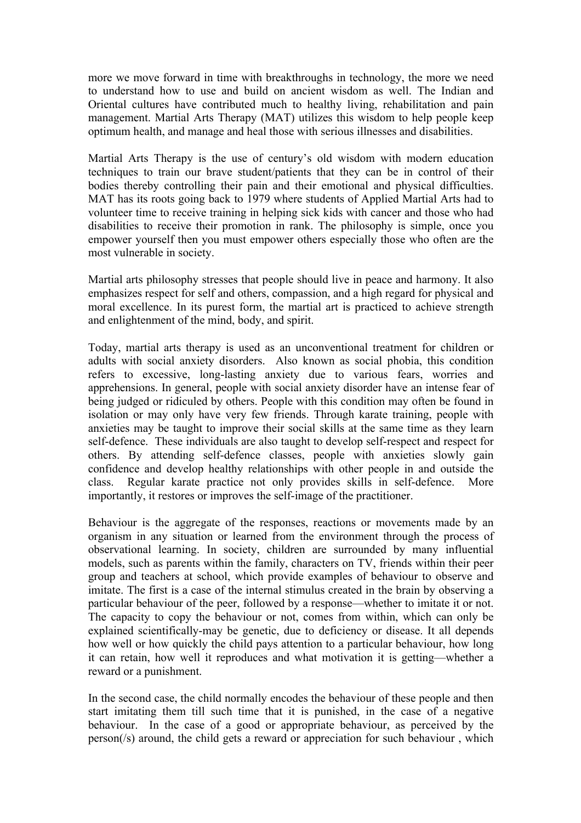more we move forward in time with breakthroughs in technology, the more we need to understand how to use and build on ancient wisdom as well. The Indian and Oriental cultures have contributed much to healthy living, rehabilitation and pain management. Martial Arts Therapy (MAT) utilizes this wisdom to help people keep optimum health, and manage and heal those with serious illnesses and disabilities.

Martial Arts Therapy is the use of century's old wisdom with modern education techniques to train our brave student/patients that they can be in control of their bodies thereby controlling their pain and their emotional and physical difficulties. MAT has its roots going back to 1979 where students of Applied Martial Arts had to volunteer time to receive training in helping sick kids with cancer and those who had disabilities to receive their promotion in rank. The philosophy is simple, once you empower yourself then you must empower others especially those who often are the most vulnerable in society.

Martial arts philosophy stresses that people should live in peace and harmony. It also emphasizes respect for self and others, compassion, and a high regard for physical and moral excellence. In its purest form, the martial art is practiced to achieve strength and enlightenment of the mind, body, and spirit.

Today, martial arts therapy is used as an unconventional treatment for children or adults with social anxiety disorders. Also known as social phobia, this condition refers to excessive, long-lasting anxiety due to various fears, worries and apprehensions. In general, people with social anxiety disorder have an intense fear of being judged or ridiculed by others. People with this condition may often be found in isolation or may only have very few friends. Through karate training, people with anxieties may be taught to improve their social skills at the same time as they learn self-defence. These individuals are also taught to develop self-respect and respect for others. By attending self-defence classes, people with anxieties slowly gain confidence and develop healthy relationships with other people in and outside the class. Regular karate practice not only provides skills in self-defence. More importantly, it restores or improves the self-image of the practitioner.

Behaviour is the aggregate of the responses, reactions or movements made by an organism in any situation or learned from the environment through the process of observational learning. In society, children are surrounded by many influential models, such as parents within the family, characters on TV, friends within their peer group and teachers at school, which provide examples of behaviour to observe and imitate. The first is a case of the internal stimulus created in the brain by observing a particular behaviour of the peer, followed by a response—whether to imitate it or not. The capacity to copy the behaviour or not, comes from within, which can only be explained scientifically-may be genetic, due to deficiency or disease. It all depends how well or how quickly the child pays attention to a particular behaviour, how long it can retain, how well it reproduces and what motivation it is getting—whether a reward or a punishment.

In the second case, the child normally encodes the behaviour of these people and then start imitating them till such time that it is punished, in the case of a negative behaviour. In the case of a good or appropriate behaviour, as perceived by the person(/s) around, the child gets a reward or appreciation for such behaviour , which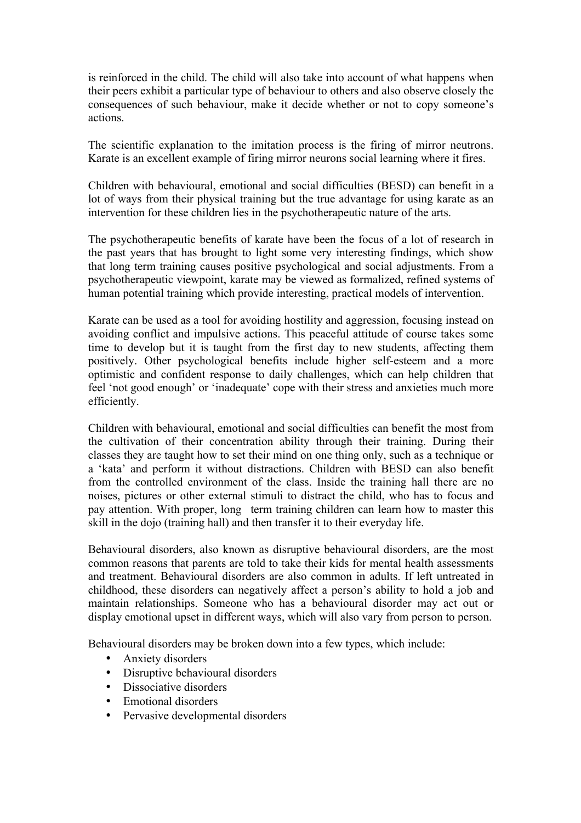is reinforced in the child. The child will also take into account of what happens when their peers exhibit a particular type of behaviour to others and also observe closely the consequences of such behaviour, make it decide whether or not to copy someone's actions.

The scientific explanation to the imitation process is the firing of mirror neutrons. Karate is an excellent example of firing mirror neurons social learning where it fires.

Children with behavioural, emotional and social difficulties (BESD) can benefit in a lot of ways from their physical training but the true advantage for using karate as an intervention for these children lies in the psychotherapeutic nature of the arts.

The psychotherapeutic benefits of karate have been the focus of a lot of research in the past years that has brought to light some very interesting findings, which show that long term training causes positive psychological and social adjustments. From a psychotherapeutic viewpoint, karate may be viewed as formalized, refined systems of human potential training which provide interesting, practical models of intervention.

Karate can be used as a tool for avoiding hostility and aggression, focusing instead on avoiding conflict and impulsive actions. This peaceful attitude of course takes some time to develop but it is taught from the first day to new students, affecting them positively. Other psychological benefits include higher self-esteem and a more optimistic and confident response to daily challenges, which can help children that feel 'not good enough' or 'inadequate' cope with their stress and anxieties much more efficiently.

Children with behavioural, emotional and social difficulties can benefit the most from the cultivation of their concentration ability through their training. During their classes they are taught how to set their mind on one thing only, such as a technique or a 'kata' and perform it without distractions. Children with BESD can also benefit from the controlled environment of the class. Inside the training hall there are no noises, pictures or other external stimuli to distract the child, who has to focus and pay attention. With proper, long term training children can learn how to master this skill in the dojo (training hall) and then transfer it to their everyday life.

Behavioural disorders, also known as disruptive behavioural disorders, are the most common reasons that parents are told to take their kids for mental health assessments and treatment. Behavioural disorders are also common in adults. If left untreated in childhood, these disorders can negatively affect a person's ability to hold a job and maintain relationships. Someone who has a behavioural disorder may act out or display emotional upset in different ways, which will also vary from person to person.

Behavioural disorders may be broken down into a few types, which include:

- Anxiety disorders
- Disruptive behavioural disorders
- Dissociative disorders
- Emotional disorders
- Pervasive developmental disorders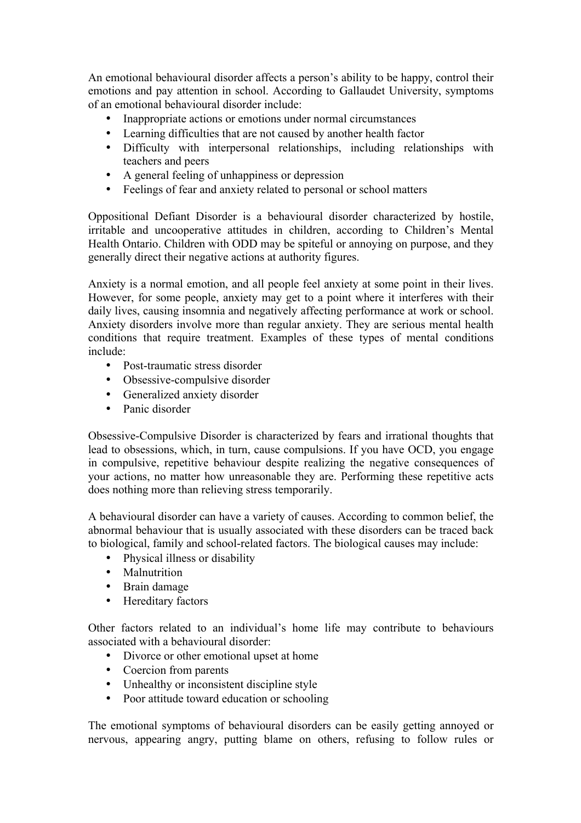An emotional behavioural disorder affects a person's ability to be happy, control their emotions and pay attention in school. According to Gallaudet University, symptoms of an emotional behavioural disorder include:

- Inappropriate actions or emotions under normal circumstances
- Learning difficulties that are not caused by another health factor
- Difficulty with interpersonal relationships, including relationships with teachers and peers
- A general feeling of unhappiness or depression
- Feelings of fear and anxiety related to personal or school matters

Oppositional Defiant Disorder is a behavioural disorder characterized by hostile, irritable and uncooperative attitudes in children, according to Children's Mental Health Ontario. Children with ODD may be spiteful or annoying on purpose, and they generally direct their negative actions at authority figures.

Anxiety is a normal emotion, and all people feel anxiety at some point in their lives. However, for some people, anxiety may get to a point where it interferes with their daily lives, causing insomnia and negatively affecting performance at work or school. Anxiety disorders involve more than regular anxiety. They are serious mental health conditions that require treatment. Examples of these types of mental conditions include:

- Post-traumatic stress disorder
- Obsessive-compulsive disorder
- Generalized anxiety disorder
- Panic disorder

Obsessive-Compulsive Disorder is characterized by fears and irrational thoughts that lead to obsessions, which, in turn, cause compulsions. If you have OCD, you engage in compulsive, repetitive behaviour despite realizing the negative consequences of your actions, no matter how unreasonable they are. Performing these repetitive acts does nothing more than relieving stress temporarily.

A behavioural disorder can have a variety of causes. According to common belief, the abnormal behaviour that is usually associated with these disorders can be traced back to biological, family and school-related factors. The biological causes may include:

- Physical illness or disability
- Malnutrition
- Brain damage
- Hereditary factors

Other factors related to an individual's home life may contribute to behaviours associated with a behavioural disorder:

- Divorce or other emotional upset at home
- Coercion from parents
- Unhealthy or inconsistent discipline style
- Poor attitude toward education or schooling

The emotional symptoms of behavioural disorders can be easily getting annoyed or nervous, appearing angry, putting blame on others, refusing to follow rules or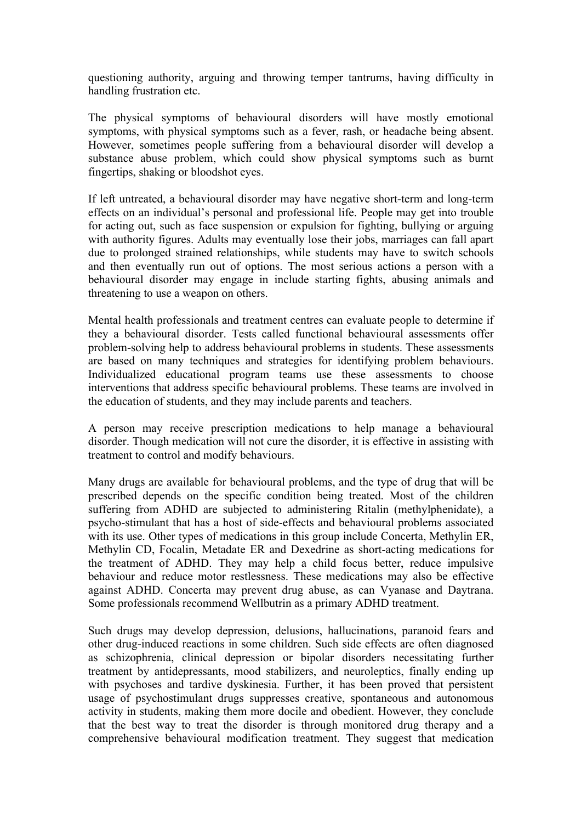questioning authority, arguing and throwing temper tantrums, having difficulty in handling frustration etc.

The physical symptoms of behavioural disorders will have mostly emotional symptoms, with physical symptoms such as a fever, rash, or headache being absent. However, sometimes people suffering from a behavioural disorder will develop a substance abuse problem, which could show physical symptoms such as burnt fingertips, shaking or bloodshot eyes.

If left untreated, a behavioural disorder may have negative short-term and long-term effects on an individual's personal and professional life. People may get into trouble for acting out, such as face suspension or expulsion for fighting, bullying or arguing with authority figures. Adults may eventually lose their jobs, marriages can fall apart due to prolonged strained relationships, while students may have to switch schools and then eventually run out of options. The most serious actions a person with a behavioural disorder may engage in include starting fights, abusing animals and threatening to use a weapon on others.

Mental health professionals and treatment centres can evaluate people to determine if they a behavioural disorder. Tests called functional behavioural assessments offer problem-solving help to address behavioural problems in students. These assessments are based on many techniques and strategies for identifying problem behaviours. Individualized educational program teams use these assessments to choose interventions that address specific behavioural problems. These teams are involved in the education of students, and they may include parents and teachers.

A person may receive prescription medications to help manage a behavioural disorder. Though medication will not cure the disorder, it is effective in assisting with treatment to control and modify behaviours.

Many drugs are available for behavioural problems, and the type of drug that will be prescribed depends on the specific condition being treated. Most of the children suffering from ADHD are subjected to administering Ritalin (methylphenidate), a psycho-stimulant that has a host of side-effects and behavioural problems associated with its use. Other types of medications in this group include Concerta, Methylin ER, Methylin CD, Focalin, Metadate ER and Dexedrine as short-acting medications for the treatment of ADHD. They may help a child focus better, reduce impulsive behaviour and reduce motor restlessness. These medications may also be effective against ADHD. Concerta may prevent drug abuse, as can Vyanase and Daytrana. Some professionals recommend Wellbutrin as a primary ADHD treatment.

Such drugs may develop depression, delusions, hallucinations, paranoid fears and other drug-induced reactions in some children. Such side effects are often diagnosed as schizophrenia, clinical depression or bipolar disorders necessitating further treatment by antidepressants, mood stabilizers, and neuroleptics, finally ending up with psychoses and tardive dyskinesia. Further, it has been proved that persistent usage of psychostimulant drugs suppresses creative, spontaneous and autonomous activity in students, making them more docile and obedient. However, they conclude that the best way to treat the disorder is through monitored drug therapy and a comprehensive behavioural modification treatment. They suggest that medication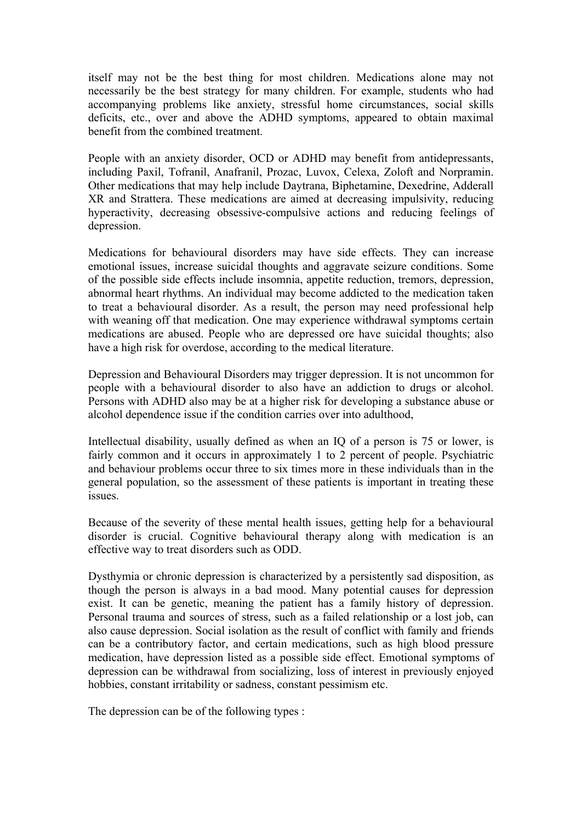itself may not be the best thing for most children. Medications alone may not necessarily be the best strategy for many children. For example, students who had accompanying problems like anxiety, stressful home circumstances, social skills deficits, etc., over and above the ADHD symptoms, appeared to obtain maximal benefit from the combined treatment.

People with an anxiety disorder, OCD or ADHD may benefit from antidepressants, including Paxil, Tofranil, Anafranil, Prozac, Luvox, Celexa, Zoloft and Norpramin. Other medications that may help include Daytrana, Biphetamine, Dexedrine, Adderall XR and Strattera. These medications are aimed at decreasing impulsivity, reducing hyperactivity, decreasing obsessive-compulsive actions and reducing feelings of depression.

Medications for behavioural disorders may have side effects. They can increase emotional issues, increase suicidal thoughts and aggravate seizure conditions. Some of the possible side effects include insomnia, appetite reduction, tremors, depression, abnormal heart rhythms. An individual may become addicted to the medication taken to treat a behavioural disorder. As a result, the person may need professional help with weaning off that medication. One may experience withdrawal symptoms certain medications are abused. People who are depressed ore have suicidal thoughts; also have a high risk for overdose, according to the medical literature.

Depression and Behavioural Disorders may trigger depression. It is not uncommon for people with a behavioural disorder to also have an addiction to drugs or alcohol. Persons with ADHD also may be at a higher risk for developing a substance abuse or alcohol dependence issue if the condition carries over into adulthood,

Intellectual disability, usually defined as when an IQ of a person is 75 or lower, is fairly common and it occurs in approximately 1 to 2 percent of people. Psychiatric and behaviour problems occur three to six times more in these individuals than in the general population, so the assessment of these patients is important in treating these issues.

Because of the severity of these mental health issues, getting help for a behavioural disorder is crucial. Cognitive behavioural therapy along with medication is an effective way to treat disorders such as ODD.

Dysthymia or chronic depression is characterized by a persistently sad disposition, as though the person is always in a bad mood. Many potential causes for depression exist. It can be genetic, meaning the patient has a family history of depression. Personal trauma and sources of stress, such as a failed relationship or a lost job, can also cause depression. Social isolation as the result of conflict with family and friends can be a contributory factor, and certain medications, such as high blood pressure medication, have depression listed as a possible side effect. Emotional symptoms of depression can be withdrawal from socializing, loss of interest in previously enjoyed hobbies, constant irritability or sadness, constant pessimism etc.

The depression can be of the following types :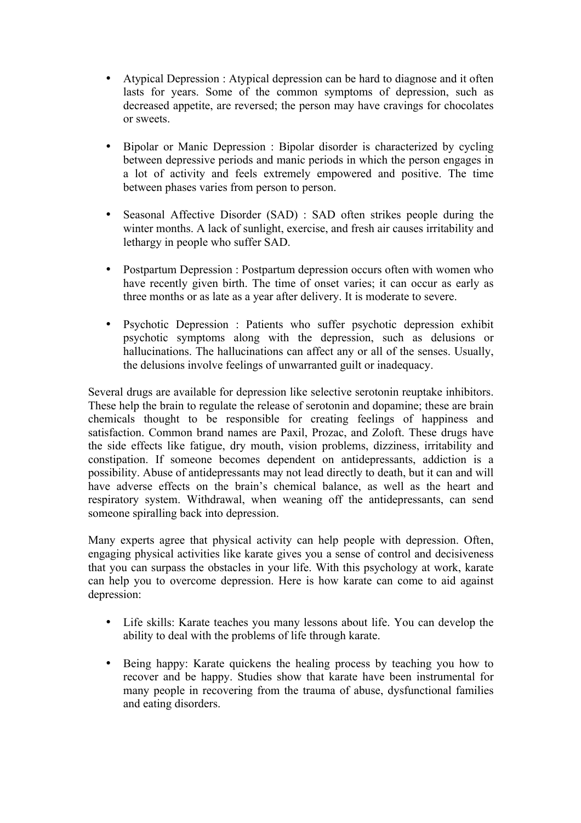- Atypical Depression : Atypical depression can be hard to diagnose and it often lasts for years. Some of the common symptoms of depression, such as decreased appetite, are reversed; the person may have cravings for chocolates or sweets.
- Bipolar or Manic Depression : Bipolar disorder is characterized by cycling between depressive periods and manic periods in which the person engages in a lot of activity and feels extremely empowered and positive. The time between phases varies from person to person.
- Seasonal Affective Disorder (SAD) : SAD often strikes people during the winter months. A lack of sunlight, exercise, and fresh air causes irritability and lethargy in people who suffer SAD.
- Postpartum Depression : Postpartum depression occurs often with women who have recently given birth. The time of onset varies; it can occur as early as three months or as late as a year after delivery. It is moderate to severe.
- Psychotic Depression : Patients who suffer psychotic depression exhibit psychotic symptoms along with the depression, such as delusions or hallucinations. The hallucinations can affect any or all of the senses. Usually, the delusions involve feelings of unwarranted guilt or inadequacy.

Several drugs are available for depression like selective serotonin reuptake inhibitors. These help the brain to regulate the release of serotonin and dopamine; these are brain chemicals thought to be responsible for creating feelings of happiness and satisfaction. Common brand names are Paxil, Prozac, and Zoloft. These drugs have the side effects like fatigue, dry mouth, vision problems, dizziness, irritability and constipation. If someone becomes dependent on antidepressants, addiction is a possibility. Abuse of antidepressants may not lead directly to death, but it can and will have adverse effects on the brain's chemical balance, as well as the heart and respiratory system. Withdrawal, when weaning off the antidepressants, can send someone spiralling back into depression.

Many experts agree that physical activity can help people with depression. Often, engaging physical activities like karate gives you a sense of control and decisiveness that you can surpass the obstacles in your life. With this psychology at work, karate can help you to overcome depression. Here is how karate can come to aid against depression:

- Life skills: Karate teaches you many lessons about life. You can develop the ability to deal with the problems of life through karate.
- Being happy: Karate quickens the healing process by teaching you how to recover and be happy. Studies show that karate have been instrumental for many people in recovering from the trauma of abuse, dysfunctional families and eating disorders.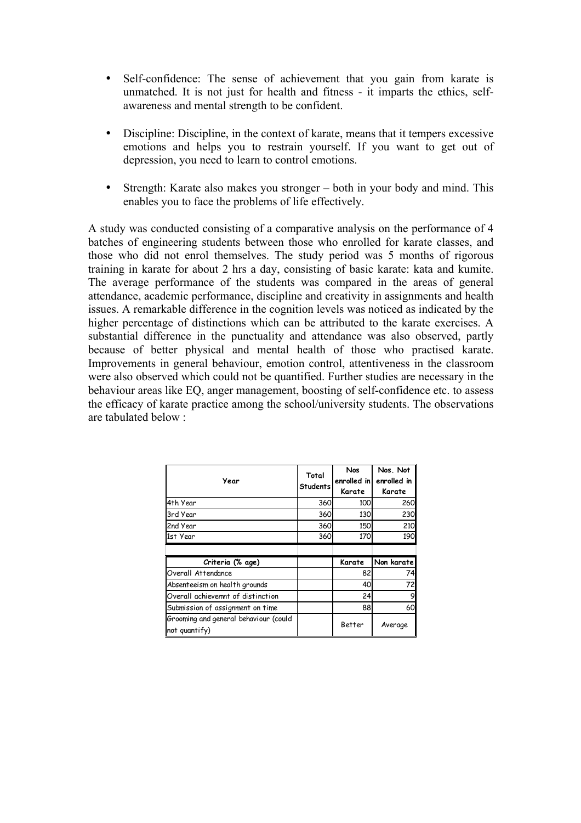- Self-confidence: The sense of achievement that you gain from karate is unmatched. It is not just for health and fitness - it imparts the ethics, selfawareness and mental strength to be confident.
- Discipline: Discipline, in the context of karate, means that it tempers excessive emotions and helps you to restrain yourself. If you want to get out of depression, you need to learn to control emotions.
- Strength: Karate also makes you stronger both in your body and mind. This enables you to face the problems of life effectively.

A study was conducted consisting of a comparative analysis on the performance of 4 batches of engineering students between those who enrolled for karate classes, and those who did not enrol themselves. The study period was 5 months of rigorous training in karate for about 2 hrs a day, consisting of basic karate: kata and kumite. The average performance of the students was compared in the areas of general attendance, academic performance, discipline and creativity in assignments and health issues. A remarkable difference in the cognition levels was noticed as indicated by the higher percentage of distinctions which can be attributed to the karate exercises. A substantial difference in the punctuality and attendance was also observed, partly because of better physical and mental health of those who practised karate. Improvements in general behaviour, emotion control, attentiveness in the classroom were also observed which could not be quantified. Further studies are necessary in the behaviour areas like EQ, anger management, boosting of self-confidence etc. to assess the efficacy of karate practice among the school/university students. The observations are tabulated below :

| Year                                                   | Total<br>Students | <b>Nos</b><br>enrolled in<br>Karate | Nos. Not<br>enrolled in<br>Karate |
|--------------------------------------------------------|-------------------|-------------------------------------|-----------------------------------|
| 4th Year                                               | 360               | 100                                 | <b>260</b>                        |
| 3rd Year                                               | 360               | 130                                 | 230                               |
| 2nd Year                                               | 360               | 150                                 | 210                               |
| 1st Year                                               | 360               | 170                                 | 190                               |
|                                                        |                   |                                     |                                   |
| Criteria (% age)                                       |                   | Karate                              | Non karate                        |
| Overall Attendance                                     |                   | 82                                  | 74                                |
| Absenteeism on health grounds                          |                   | 40                                  | 72                                |
| Overall achievemnt of distinction                      |                   | 24                                  |                                   |
| Submission of assignment on time                       |                   | 88                                  | 60                                |
| Grooming and general behaviour (could<br>not quantify) |                   | Better                              | Average                           |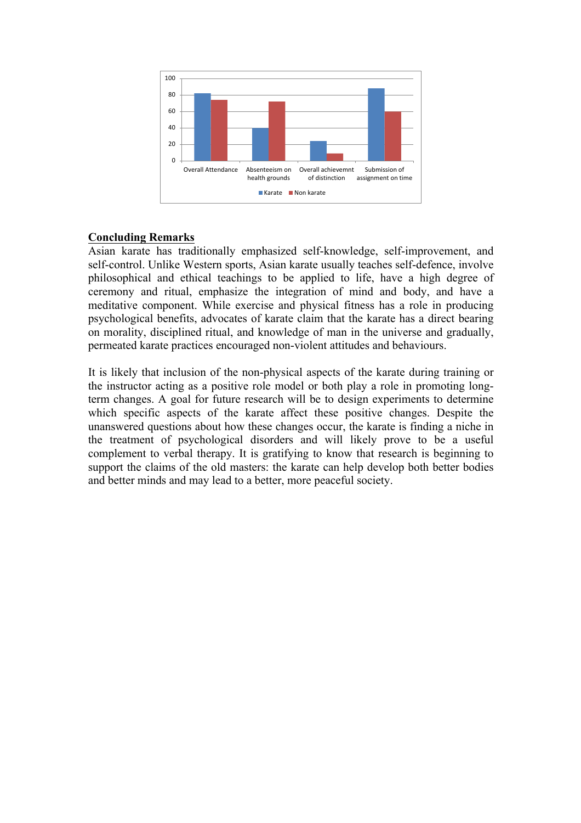

## **Concluding Remarks**

Asian karate has traditionally emphasized self-knowledge, self-improvement, and self-control. Unlike Western sports, Asian karate usually teaches self-defence, involve philosophical and ethical teachings to be applied to life, have a high degree of ceremony and ritual, emphasize the integration of mind and body, and have a meditative component. While exercise and physical fitness has a role in producing psychological benefits, advocates of karate claim that the karate has a direct bearing on morality, disciplined ritual, and knowledge of man in the universe and gradually, permeated karate practices encouraged non-violent attitudes and behaviours.

It is likely that inclusion of the non-physical aspects of the karate during training or the instructor acting as a positive role model or both play a role in promoting longterm changes. A goal for future research will be to design experiments to determine which specific aspects of the karate affect these positive changes. Despite the unanswered questions about how these changes occur, the karate is finding a niche in the treatment of psychological disorders and will likely prove to be a useful complement to verbal therapy. It is gratifying to know that research is beginning to support the claims of the old masters: the karate can help develop both better bodies and better minds and may lead to a better, more peaceful society.